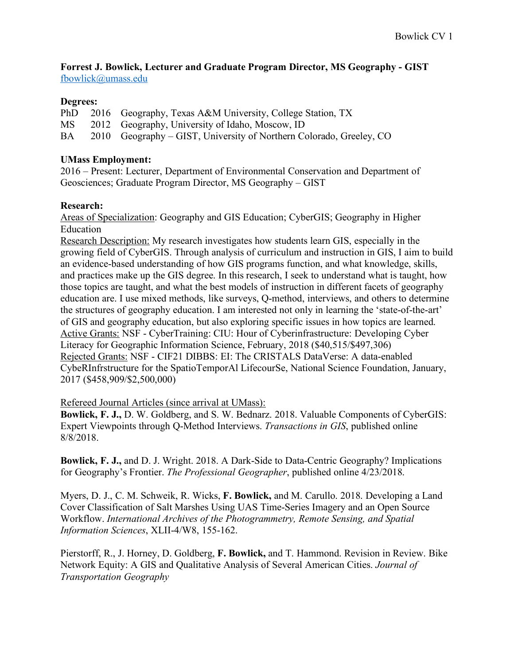**Forrest J. Bowlick, Lecturer and Graduate Program Director, MS Geography - GIST** fbowlick@umass.edu

## **Degrees:**

PhD 2016 Geography, Texas A&M University, College Station, TX MS 2012 Geography, University of Idaho, Moscow, ID BA 2010 Geography – GIST, University of Northern Colorado, Greeley, CO

## **UMass Employment:**

2016 – Present: Lecturer, Department of Environmental Conservation and Department of Geosciences; Graduate Program Director, MS Geography – GIST

# **Research:**

Areas of Specialization: Geography and GIS Education; CyberGIS; Geography in Higher Education

Research Description: My research investigates how students learn GIS, especially in the growing field of CyberGIS. Through analysis of curriculum and instruction in GIS, I aim to build an evidence-based understanding of how GIS programs function, and what knowledge, skills, and practices make up the GIS degree. In this research, I seek to understand what is taught, how those topics are taught, and what the best models of instruction in different facets of geography education are. I use mixed methods, like surveys, Q-method, interviews, and others to determine the structures of geography education. I am interested not only in learning the 'state-of-the-art' of GIS and geography education, but also exploring specific issues in how topics are learned. Active Grants: NSF - CyberTraining: CIU: Hour of Cyberinfrastructure: Developing Cyber Literacy for Geographic Information Science, February, 2018 (\$40,515/\$497,306) Rejected Grants: NSF - CIF21 DIBBS: EI: The CRISTALS DataVerse: A data-enabled CybeRInfrstructure for the SpatioTemporAl LifecourSe, National Science Foundation, January, 2017 (\$458,909/\$2,500,000)

## Refereed Journal Articles (since arrival at UMass):

**Bowlick, F. J.,** D. W. Goldberg, and S. W. Bednarz. 2018. Valuable Components of CyberGIS: Expert Viewpoints through Q-Method Interviews. *Transactions in GIS*, published online 8/8/2018.

**Bowlick, F. J.,** and D. J. Wright. 2018. A Dark-Side to Data-Centric Geography? Implications for Geography's Frontier. *The Professional Geographer*, published online 4/23/2018.

Myers, D. J., C. M. Schweik, R. Wicks, **F. Bowlick,** and M. Carullo. 2018. Developing a Land Cover Classification of Salt Marshes Using UAS Time-Series Imagery and an Open Source Workflow. *International Archives of the Photogrammetry, Remote Sensing, and Spatial Information Sciences*, XLII-4/W8, 155-162.

Pierstorff, R., J. Horney, D. Goldberg, **F. Bowlick,** and T. Hammond. Revision in Review. Bike Network Equity: A GIS and Qualitative Analysis of Several American Cities. *Journal of Transportation Geography*